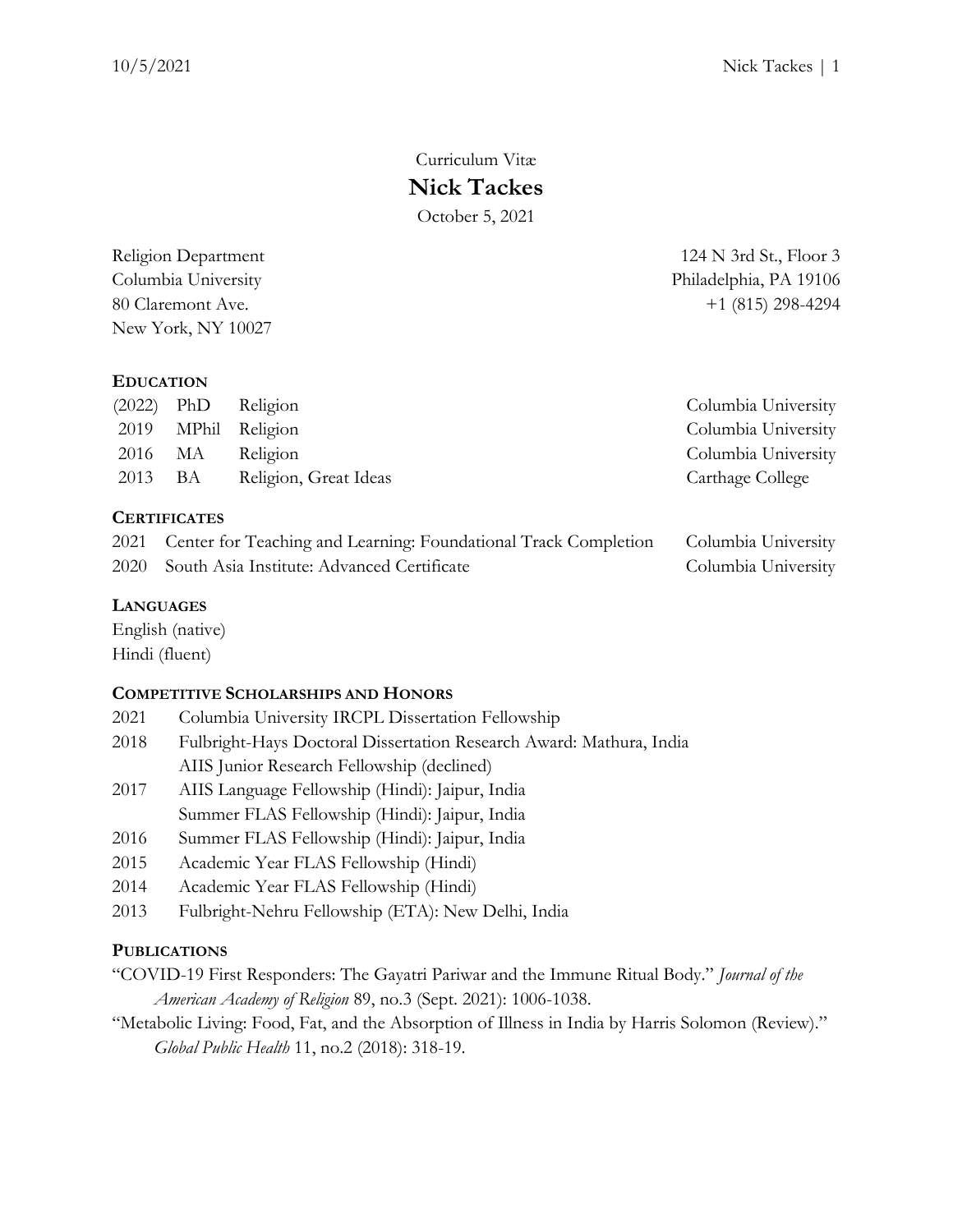# Curriculum Vitæ **Nick Tackes** October 5, 2021

New York, NY 10027

# **EDUCATION**

|         | $(2022)$ PhD Religion | Columbia University |
|---------|-----------------------|---------------------|
|         | 2019 MPhil Religion   | Columbia University |
|         | 2016 MA Religion      | Columbia University |
| 2013 BA | Religion, Great Ideas | Carthage College    |
|         |                       |                     |

# **CERTIFICATES**

| 2021 Center for Teaching and Learning: Foundational Track Completion | Columbia University |
|----------------------------------------------------------------------|---------------------|
| 2020 South Asia Institute: Advanced Certificate                      | Columbia University |

# **LANGUAGES**

English (native) Hindi (fluent)

# **COMPETITIVE SCHOLARSHIPS AND HONORS**

- 2021 Columbia University IRCPL Dissertation Fellowship
- 2018 Fulbright-Hays Doctoral Dissertation Research Award: Mathura, India AIIS Junior Research Fellowship (declined)
- 2017 AIIS Language Fellowship (Hindi): Jaipur, India Summer FLAS Fellowship (Hindi): Jaipur, India
- 2016 Summer FLAS Fellowship (Hindi): Jaipur, India
- 2015 Academic Year FLAS Fellowship (Hindi)
- 2014 Academic Year FLAS Fellowship (Hindi)
- 2013 Fulbright-Nehru Fellowship (ETA): New Delhi, India

# **PUBLICATIONS**

- "COVID-[19 First Responders: The Gayatri Pariwar and the Immune Ritual Body."](https://dx.doi.org/10.1093/jaarel/lfab057) *Journal of the [American Academy of Religion](https://dx.doi.org/10.1093/jaarel/lfab057)* 89, no.3 (Sept. 2021): 1006-1038.
- ["Metabolic Living: Food, Fat, and the Absorption of Illness in India by Harris Solomon \(Review\)."](https://doi.org/10.1080/17441692.2018.1511742)  *Global Public Health* [11, no.2 \(2018\): 318-19.](https://doi.org/10.1080/17441692.2018.1511742)

Religion Department 124 N 3rd St., Floor 3 Columbia University Philadelphia, PA 19106 80 Claremont Ave. +1 (815) 298-4294

| Columbia University |
|---------------------|
| Columbia University |
| Columbia University |
| Carthage College    |